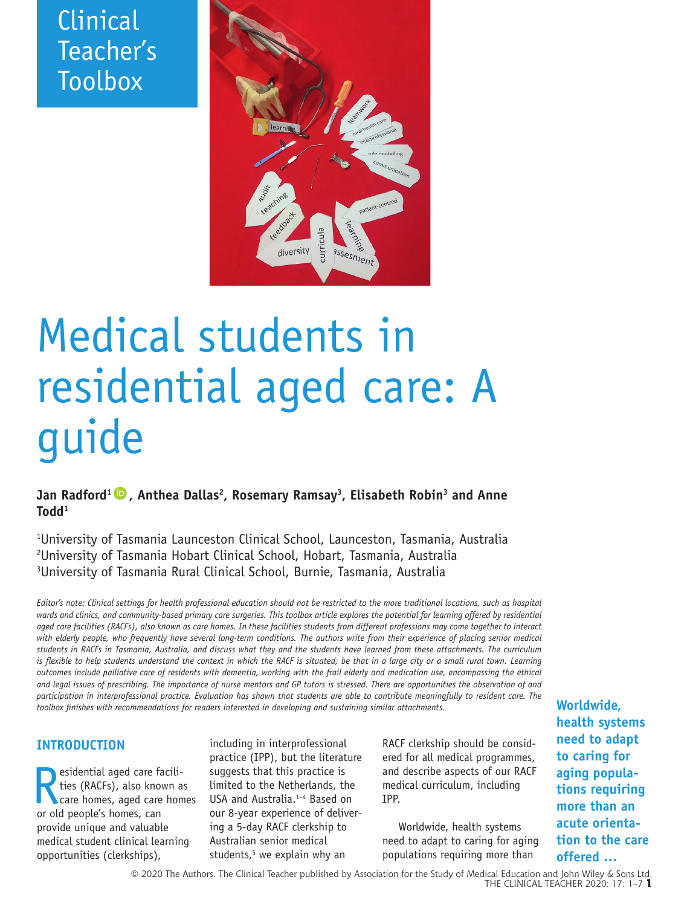# Clinical Teacher's Toolbox



# Medical students in residential aged care: A guide

**Jan Radford[1](https://orcid.org/0000-0002-5751-0488) , Anthea Dallas2 , Rosemary Ramsay3 , Elisabeth Robin3 and Anne Todd1**

1 University of Tasmania Launceston Clinical School, Launceston, Tasmania, Australia 2 University of Tasmania Hobart Clinical School, Hobart, Tasmania, Australia 3 University of Tasmania Rural Clinical School, Burnie, Tasmania, Australia

*Editor's note: Clinical settings for health professional education should not be restricted to the more traditional locations, such as hospital*  wards and clinics, and community-based primary care surgeries. This toolbox article explores the potential for learning offered by residential *aged care facilities (RACFs), also known as care homes. In these facilities students from different professions may come together to interact with elderly people, who frequently have several long-term conditions. The authors write from their experience of placing senior medical students in RACFs in Tasmania, Australia, and discuss what they and the students have learned from these attachments. The curriculum is flexible to help students understand the context in which the RACF is situated, be that in a large city or a small rural town. Learning outcomes include palliative care of residents with dementia, working with the frail elderly and medication use, encompassing the ethical and legal issues of prescribing. The importance of nurse mentors and GP tutors is stressed. There are opportunities the observation of and participation in interprofessional practice. Evaluation has shown that students are able to contribute meaningfully to resident care. The toolbox finishes with recommendations for readers interested in developing and sustaining similar attachments.*

# **INTRODUCTION**

**Residential aged care faties (RACFs), also know<br>care homes, aged care<br>or old people's homes, can** esidential aged care facilities (RACFs), also known as care homes, aged care homes provide unique and valuable medical student clinical learning opportunities (clerkships),

including in interprofessional practice (IPP), but the literature suggests that this practice is limited to the Netherlands, the USA and Australia.<sup>1-4</sup> Based on our 8-year experience of delivering a 5-day RACF clerkship to Australian senior medical students,5 we explain why an

RACF clerkship should be considered for all medical programmes, and describe aspects of our RACF medical curriculum, including IPP.

Worldwide, health systems need to adapt to caring for aging populations requiring more than

**Worldwide, health systems need to adapt to caring for aging populations requiring more than an acute orientation to the care offered …**

© 2020 The Authors. The Clinical Teacher published by Association for the Study of Medical Education and John Wiley & Sons Ltd. THE CLINICAL TEACHER 2020; 17: 1–7 **1**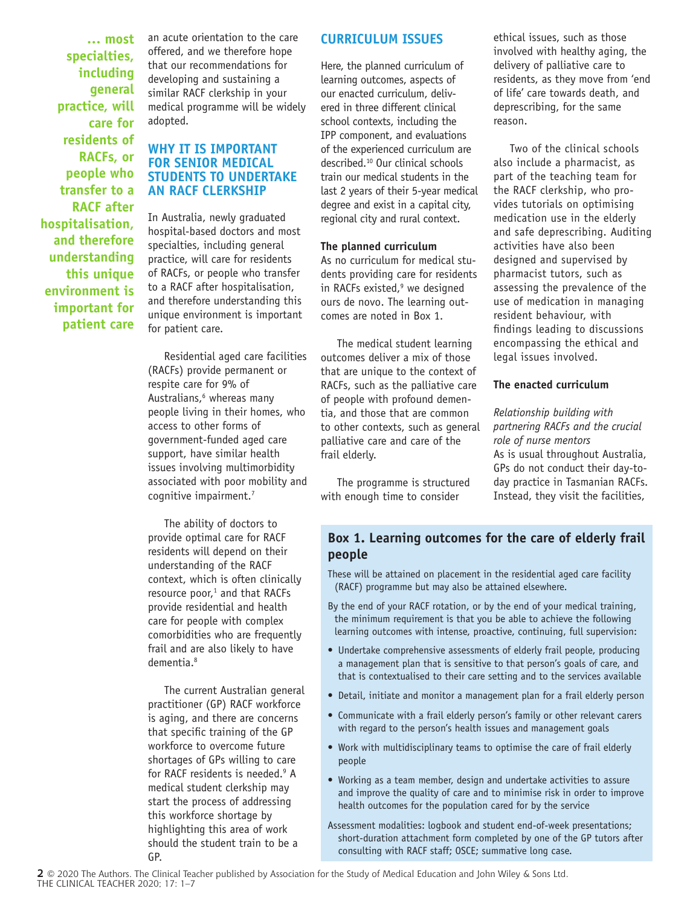**… most specialties, including general practice, will care for residents of RACFs, or people who transfer to a RACF after hospitalisation, and therefore understanding this unique environment is important for patient care**

an acute orientation to the care offered, and we therefore hope that our recommendations for developing and sustaining a similar RACF clerkship in your medical programme will be widely adopted.

# **WHY IT IS IMPORTANT FOR SENIOR MEDICAL STUDENTS TO UNDERTAKE AN RACF CLERKSHIP**

In Australia, newly graduated hospital-based doctors and most specialties, including general practice, will care for residents of RACFs, or people who transfer to a RACF after hospitalisation, and therefore understanding this unique environment is important for patient care.

Residential aged care facilities (RACFs) provide permanent or respite care for 9% of Australians,6 whereas many people living in their homes, who access to other forms of government-funded aged care support, have similar health issues involving multimorbidity associated with poor mobility and cognitive impairment.7

The ability of doctors to provide optimal care for RACF residents will depend on their understanding of the RACF context, which is often clinically  $resource poor<sup>1</sup>$  and that RACFs provide residential and health care for people with complex comorbidities who are frequently frail and are also likely to have dementia.8

The current Australian general practitioner (GP) RACF workforce is aging, and there are concerns that specific training of the GP workforce to overcome future shortages of GPs willing to care for RACF residents is needed.<sup>9</sup> A medical student clerkship may start the process of addressing this workforce shortage by highlighting this area of work should the student train to be a GP.

## **CURRICULUM ISSUES**

Here, the planned curriculum of learning outcomes, aspects of our enacted curriculum, delivered in three different clinical school contexts, including the IPP component, and evaluations of the experienced curriculum are described.10 Our clinical schools train our medical students in the last 2 years of their 5-year medical degree and exist in a capital city, regional city and rural context.

#### **The planned curriculum**

As no curriculum for medical students providing care for residents in RACFs existed,9 we designed ours de novo. The learning outcomes are noted in Box 1.

The medical student learning outcomes deliver a mix of those that are unique to the context of RACFs, such as the palliative care of people with profound dementia, and those that are common to other contexts, such as general palliative care and care of the frail elderly.

The programme is structured with enough time to consider

#### ethical issues, such as those involved with healthy aging, the delivery of palliative care to residents, as they move from 'end of life' care towards death, and deprescribing, for the same reason.

Two of the clinical schools also include a pharmacist, as part of the teaching team for the RACF clerkship, who provides tutorials on optimising medication use in the elderly and safe deprescribing. Auditing activities have also been designed and supervised by pharmacist tutors, such as assessing the prevalence of the use of medication in managing resident behaviour, with findings leading to discussions encompassing the ethical and legal issues involved.

#### **The enacted curriculum**

*Relationship building with partnering RACFs and the crucial role of nurse mentors* As is usual throughout Australia, GPs do not conduct their day-today practice in Tasmanian RACFs. Instead, they visit the facilities,

# **Box 1. Learning outcomes for the care of elderly frail people**

These will be attained on placement in the residential aged care facility (RACF) programme but may also be attained elsewhere.

- By the end of your RACF rotation, or by the end of your medical training, the minimum requirement is that you be able to achieve the following learning outcomes with intense, proactive, continuing, full supervision:
- Undertake comprehensive assessments of elderly frail people, producing a management plan that is sensitive to that person's goals of care, and that is contextualised to their care setting and to the services available
- Detail, initiate and monitor a management plan for a frail elderly person
- Communicate with a frail elderly person's family or other relevant carers with regard to the person's health issues and management goals
- Work with multidisciplinary teams to optimise the care of frail elderly people
- Working as a team member, design and undertake activities to assure and improve the quality of care and to minimise risk in order to improve health outcomes for the population cared for by the service
- Assessment modalities: logbook and student end-of-week presentations; short-duration attachment form completed by one of the GP tutors after consulting with RACF staff; OSCE; summative long case.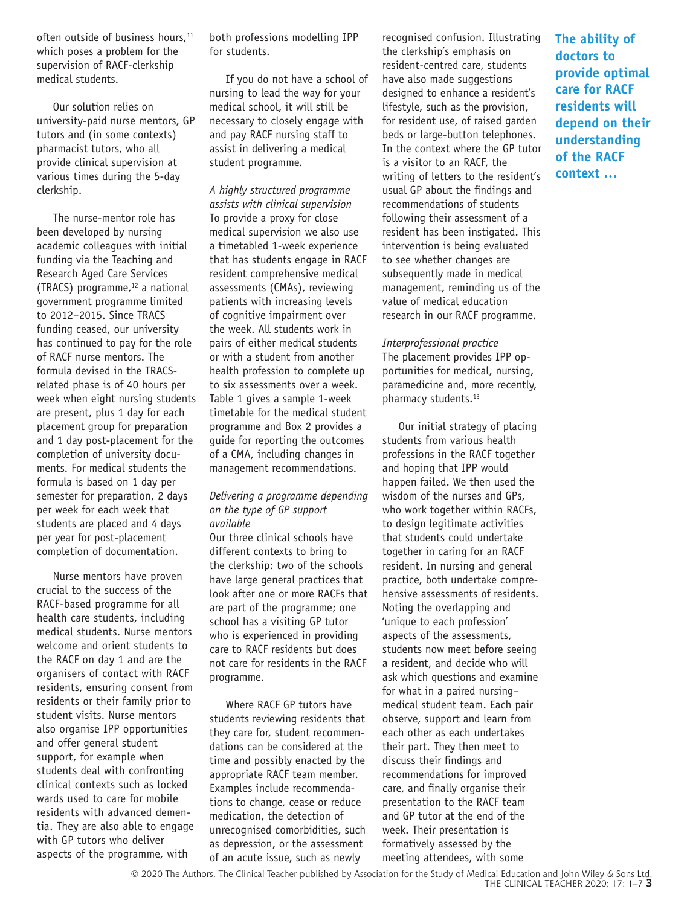often outside of business hours,<sup>11</sup> which poses a problem for the supervision of RACF-clerkship medical students.

Our solution relies on university-paid nurse mentors, GP tutors and (in some contexts) pharmacist tutors, who all provide clinical supervision at various times during the 5-day clerkship.

The nurse-mentor role has been developed by nursing academic colleagues with initial funding via the Teaching and Research Aged Care Services (TRACS) programme, $12$  a national government programme limited to 2012–2015. Since TRACS funding ceased, our university has continued to pay for the role of RACF nurse mentors. The formula devised in the TRACSrelated phase is of 40 hours per week when eight nursing students are present, plus 1 day for each placement group for preparation and 1 day post-placement for the completion of university documents. For medical students the formula is based on 1 day per semester for preparation, 2 days per week for each week that students are placed and 4 days per year for post-placement completion of documentation.

Nurse mentors have proven crucial to the success of the RACF-based programme for all health care students, including medical students. Nurse mentors welcome and orient students to the RACF on day 1 and are the organisers of contact with RACF residents, ensuring consent from residents or their family prior to student visits. Nurse mentors also organise IPP opportunities and offer general student support, for example when students deal with confronting clinical contexts such as locked wards used to care for mobile residents with advanced dementia. They are also able to engage with GP tutors who deliver aspects of the programme, with

both professions modelling IPP for students.

If you do not have a school of nursing to lead the way for your medical school, it will still be necessary to closely engage with and pay RACF nursing staff to assist in delivering a medical student programme.

*A highly structured programme assists with clinical supervision* To provide a proxy for close medical supervision we also use a timetabled 1-week experience that has students engage in RACF resident comprehensive medical assessments (CMAs), reviewing patients with increasing levels of cognitive impairment over the week. All students work in pairs of either medical students or with a student from another health profession to complete up to six assessments over a week. Table 1 gives a sample 1-week timetable for the medical student programme and Box 2 provides a guide for reporting the outcomes of a CMA, including changes in management recommendations.

#### *Delivering a programme depending on the type of GP support available*

Our three clinical schools have different contexts to bring to the clerkship: two of the schools have large general practices that look after one or more RACFs that are part of the programme; one school has a visiting GP tutor who is experienced in providing care to RACF residents but does not care for residents in the RACF programme.

Where RACF GP tutors have students reviewing residents that they care for, student recommendations can be considered at the time and possibly enacted by the appropriate RACF team member. Examples include recommendations to change, cease or reduce medication, the detection of unrecognised comorbidities, such as depression, or the assessment of an acute issue, such as newly

recognised confusion. Illustrating the clerkship's emphasis on resident-centred care, students have also made suggestions designed to enhance a resident's lifestyle, such as the provision, for resident use, of raised garden beds or large-button telephones. In the context where the GP tutor is a visitor to an RACF, the writing of letters to the resident's usual GP about the findings and recommendations of students following their assessment of a resident has been instigated. This intervention is being evaluated to see whether changes are subsequently made in medical management, reminding us of the value of medical education research in our RACF programme.

#### *Interprofessional practice*

The placement provides IPP opportunities for medical, nursing, paramedicine and, more recently, pharmacy students.13

Our initial strategy of placing students from various health professions in the RACF together and hoping that IPP would happen failed. We then used the wisdom of the nurses and GPs, who work together within RACFs, to design legitimate activities that students could undertake together in caring for an RACF resident. In nursing and general practice, both undertake comprehensive assessments of residents. Noting the overlapping and 'unique to each profession' aspects of the assessments, students now meet before seeing a resident, and decide who will ask which questions and examine for what in a paired nursing– medical student team. Each pair observe, support and learn from each other as each undertakes their part. They then meet to discuss their findings and recommendations for improved care, and finally organise their presentation to the RACF team and GP tutor at the end of the week. Their presentation is formatively assessed by the meeting attendees, with some

**The ability of doctors to provide optimal care for RACF residents will depend on their understanding of the RACF context …**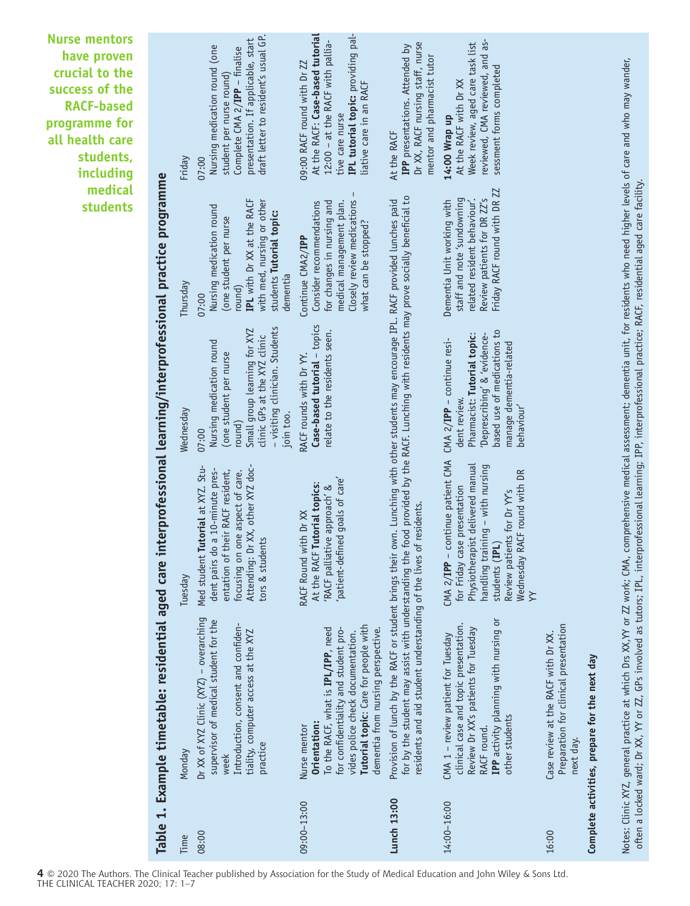|                 |                                                                                                                                                                                                                                                                                                                                                                                                                     |                                                                                                                                                                                                                                     |                                                                                                                                                                                                   | medical<br>students                                                                                                                                                                   | <b>Nurse mentors</b><br>have proven<br>crucial to<br>the<br>success of<br>the<br><b>RACF-based</b><br>programme for<br>health<br>all<br>students,<br>including                              |
|-----------------|---------------------------------------------------------------------------------------------------------------------------------------------------------------------------------------------------------------------------------------------------------------------------------------------------------------------------------------------------------------------------------------------------------------------|-------------------------------------------------------------------------------------------------------------------------------------------------------------------------------------------------------------------------------------|---------------------------------------------------------------------------------------------------------------------------------------------------------------------------------------------------|---------------------------------------------------------------------------------------------------------------------------------------------------------------------------------------|---------------------------------------------------------------------------------------------------------------------------------------------------------------------------------------------|
|                 | Table 1. Example timetable: residential aged care interprofessional learning/interprofessional practice programme                                                                                                                                                                                                                                                                                                   |                                                                                                                                                                                                                                     |                                                                                                                                                                                                   |                                                                                                                                                                                       |                                                                                                                                                                                             |
| 08:00<br>Time   | Dr XX of XYZ Clinic (XYZ) - overarching<br>supervisor of medical student for the<br>Introduction, consent and confiden-<br>tiality, computer access at the XYZ<br>practice<br>Monday<br>week                                                                                                                                                                                                                        | Attending: Dr XX, other XYZ doc-<br>Med student Tutorial at XYZ. Stu-<br>a 10-minute pres-<br>entation of their RACF resident,<br>focusing on one aspect of care.<br>tors & students<br>dent pairs do<br>Tuesday                    | - visiting clinician. Students<br>Small group learning for XYZ<br>clinic GPs at the XYZ clinic<br>Nursing medication round<br>(one student per nurse<br>Wednesday<br>join too.<br>round)<br>07:00 | IPL with Dr XX at the RACF<br>with med, nursing or other<br>Nursing medication round<br>students Tutorial topic:<br>(one student per nurse<br>dementia<br>Thursday<br>round)<br>07:00 | draft letter to resident's usual GP.<br>presentation. If applicable, start<br>Nursing medication round (one<br>Complete CMA 2/IPP - finalise<br>student per nurse round)<br>Friday<br>07:00 |
| $09:00 - 13:00$ | Tutorial topic: Care for people with<br>for confidentiality and student pro-<br>To the RACF, what is IPL/IPP, need<br>dementia from nursing perspective.<br>vides police check documentation.<br>Orientation:<br>Nurse mentor                                                                                                                                                                                       | patient-defined goals of care'<br>At the RACF Tutorial topics:<br>'RACF palliative approach' &<br>RACF Round with Dr XX                                                                                                             | Case-based tutorial - topics<br>relate to the residents seen.<br>RACF rounds with Dr YY.                                                                                                          | $\mathsf{I}$<br>Closely review medications<br>for changes in nursing and<br>medical management plan.<br>Consider recommendations<br>what can be stopped?<br>Continue CMA2/IPP         | At the RACF: Case-based tutorial<br>IPL tutorial topic: providing pal-<br>12:00 - at the RACF with pallia-<br>09:00 RACF round with Dr ZZ<br>liative care in an RACF<br>tive care nurse     |
| Lunch 13:00     | for by the student may assist with understanding the food provided by the RACF. Lunching with residents may prove socially beneficial to<br>Provision of lunch by the RACF or student brings their own. Lunching with other students may encourage IPL. RACF provided lunches paid<br>residents and aid student understanding of the lives of residents.                                                            |                                                                                                                                                                                                                                     |                                                                                                                                                                                                   |                                                                                                                                                                                       | Dr XX, RACF nursing staff, nurse<br>IPP presentations. Attended by<br>mentor and pharmacist tutor<br>At the RACF                                                                            |
| 14:00-16:00     | IPP activity planning with nursing or<br>clinical case and topic presentation.<br>Review Dr XX's patients for Tuesday<br>CMA 1 - review patient for Tuesday<br>other students<br>RACF round.                                                                                                                                                                                                                        | CMA 2/IPP - continue patient CMA<br>Physiotherapist delivered manual<br>handling training – with nursing<br>Wednesday RACF round with DR<br>for Friday case presentation<br>Review patients for Dr YY's<br>students (IPL<br>$\succ$ | based use of medications to<br>Pharmacist: Tutorial topic:<br>'Deprescribing' & 'evidence-<br>CMA 2/IPP - continue resi-<br>manage dementia-related<br>dent review.<br>behaviour'                 | Friday RACF round with DR ZZ<br>staff and note 'sundowning<br>Review patients for DR ZZ's<br>related resident behaviour.<br>Dementia Unit working with                                | reviewed, CMA reviewed, and as-<br>Week review, aged care task list<br>sessment forms completed<br>At the RACF with Dr XX<br>14:00 Wrap up                                                  |
| 16:00           | Preparation for clinical presentation<br>Case review at the RACF with Dr XX.<br>next day.                                                                                                                                                                                                                                                                                                                           |                                                                                                                                                                                                                                     |                                                                                                                                                                                                   |                                                                                                                                                                                       |                                                                                                                                                                                             |
|                 | Notes: Clinic XYZ, general practice at which Drs XX,YY or ZZ work; CMA, comprehensive medical assessment; dementia unit, for residents who need higher levels of care and who may wander,<br>often a locked ward; Dr XX, YY or ZZ, GPs involved as tutors; IPL, interprofessional learning; IPP, interprofessional practice; RACF, residential aged care facility.<br>Complete activities, prepare for the next day |                                                                                                                                                                                                                                     |                                                                                                                                                                                                   |                                                                                                                                                                                       |                                                                                                                                                                                             |

**4** © 2020 The Authors. The Clinical Teacher published by Association for the Study of Medical Education and John Wiley & Sons Ltd. THE CLINICAL TEACHER 2020; 17: 1–7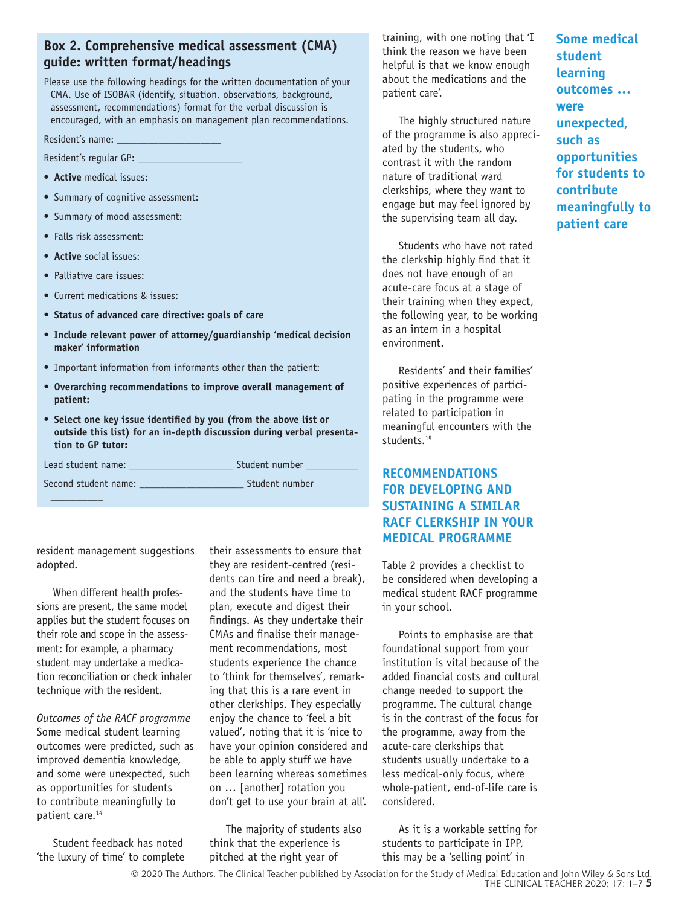# **Box 2. Comprehensive medical assessment (CMA) guide: written format/headings**

Please use the following headings for the written documentation of your CMA. Use of ISOBAR (identify, situation, observations, background, assessment, recommendations) format for the verbal discussion is encouraged, with an emphasis on management plan recommendations.

Resident's name:

Resident's regular GP:

- **Active** medical issues:
- Summary of cognitive assessment:
- Summary of mood assessment:
- Falls risk assessment:
- **Active** social issues:
- Palliative care issues:
- Current medications & issues:
- **Status of advanced care directive: goals of care**
- **Include relevant power of attorney/guardianship 'medical decision maker' information**
- Important information from informants other than the patient:
- **Overarching recommendations to improve overall management of patient:**
- **Select one key issue identified by you (from the above list or outside this list) for an in-depth discussion during verbal presentation to GP tutor:**

| Lead student name:   | Student number |
|----------------------|----------------|
| Second student name: | Student number |
|                      |                |

resident management suggestions adopted.

When different health professions are present, the same model applies but the student focuses on their role and scope in the assessment: for example, a pharmacy student may undertake a medication reconciliation or check inhaler technique with the resident.

*Outcomes of the RACF programme* Some medical student learning outcomes were predicted, such as improved dementia knowledge, and some were unexpected, such as opportunities for students to contribute meaningfully to patient care.14

Student feedback has noted 'the luxury of time' to complete their assessments to ensure that they are resident-centred (residents can tire and need a break), and the students have time to plan, execute and digest their findings. As they undertake their CMAs and finalise their management recommendations, most students experience the chance to 'think for themselves', remarking that this is a rare event in other clerkships. They especially enjoy the chance to 'feel a bit valued', noting that it is 'nice to have your opinion considered and be able to apply stuff we have been learning whereas sometimes on … [another] rotation you don't get to use your brain at all'.

The majority of students also think that the experience is pitched at the right year of

training, with one noting that 'I think the reason we have been helpful is that we know enough about the medications and the patient care'.

The highly structured nature of the programme is also appreciated by the students, who contrast it with the random nature of traditional ward clerkships, where they want to engage but may feel ignored by the supervising team all day.

Students who have not rated the clerkship highly find that it does not have enough of an acute-care focus at a stage of their training when they expect, the following year, to be working as an intern in a hospital environment.

Residents' and their families' positive experiences of participating in the programme were related to participation in meaningful encounters with the students.15

# **RECOMMENDATIONS FOR DEVELOPING AND SUSTAINING A SIMILAR RACF CLERKSHIP IN YOUR MEDICAL PROGRAMME**

Table 2 provides a checklist to be considered when developing a medical student RACF programme in your school.

Points to emphasise are that foundational support from your institution is vital because of the added financial costs and cultural change needed to support the programme. The cultural change is in the contrast of the focus for the programme, away from the acute-care clerkships that students usually undertake to a less medical-only focus, where whole-patient, end-of-life care is considered.

As it is a workable setting for students to participate in IPP, this may be a 'selling point' in

**Some medical student learning outcomes … were unexpected, such as opportunities for students to contribute meaningfully to patient care**

© 2020 The Authors. The Clinical Teacher published by Association for the Study of Medical Education and John Wiley & Sons Ltd. THE CLINICAL TEACHER 2020; 17: 1–7 **5**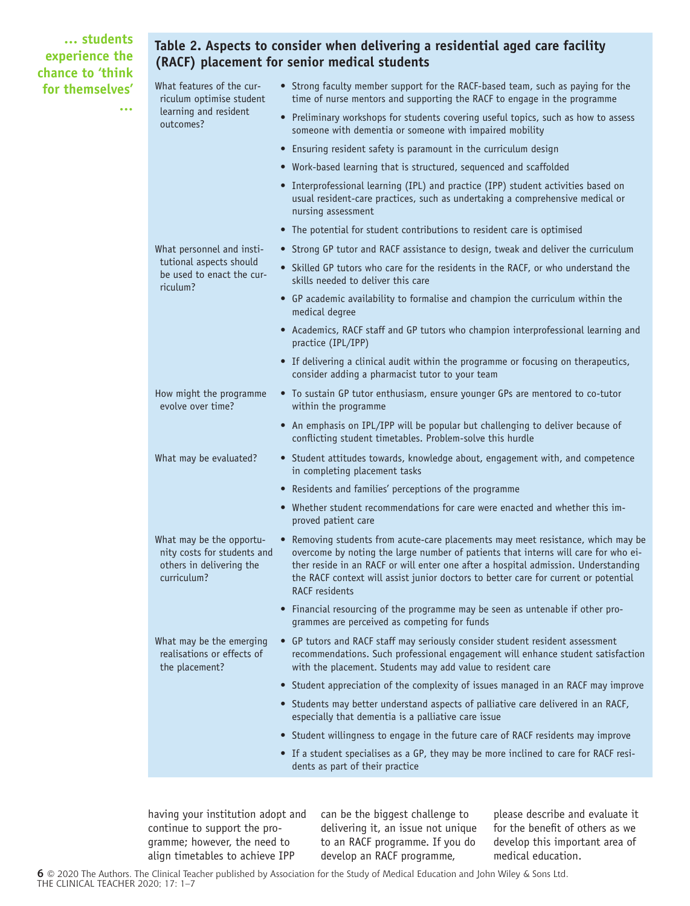# **… students experience the chance to 'think for themselves'**

**…**

| Table 2. Aspects to consider when delivering a residential aged care facility |
|-------------------------------------------------------------------------------|
| (RACF) placement for senior medical students                                  |

What features of the curriculum optimise student learning and resident outcomes? • Strong faculty member support for the RACF-based team, such as paying for the time of nurse mentors and supporting the RACF to engage in the programme • Preliminary workshops for students covering useful topics, such as how to assess someone with dementia or someone with impaired mobility • Ensuring resident safety is paramount in the curriculum design • Work-based learning that is structured, sequenced and scaffolded • Interprofessional learning (IPL) and practice (IPP) student activities based on usual resident-care practices, such as undertaking a comprehensive medical or nursing assessment • The potential for student contributions to resident care is optimised What personnel and institutional aspects should be used to enact the curriculum? • Strong GP tutor and RACF assistance to design, tweak and deliver the curriculum • Skilled GP tutors who care for the residents in the RACF, or who understand the skills needed to deliver this care • GP academic availability to formalise and champion the curriculum within the medical degree • Academics, RACF staff and GP tutors who champion interprofessional learning and practice (IPL/IPP) • If delivering a clinical audit within the programme or focusing on therapeutics, consider adding a pharmacist tutor to your team How might the programme evolve over time? • To sustain GP tutor enthusiasm, ensure younger GPs are mentored to co-tutor within the programme • An emphasis on IPL/IPP will be popular but challenging to deliver because of conflicting student timetables. Problem-solve this hurdle What may be evaluated? • Student attitudes towards, knowledge about, engagement with, and competence in completing placement tasks • Residents and families' perceptions of the programme • Whether student recommendations for care were enacted and whether this improved patient care What may be the opportunity costs for students and others in delivering the curriculum? • Removing students from acute-care placements may meet resistance, which may be overcome by noting the large number of patients that interns will care for who either reside in an RACF or will enter one after a hospital admission. Understanding the RACF context will assist junior doctors to better care for current or potential RACF residents • Financial resourcing of the programme may be seen as untenable if other programmes are perceived as competing for funds What may be the emerging realisations or effects of the placement? • GP tutors and RACF staff may seriously consider student resident assessment recommendations. Such professional engagement will enhance student satisfaction with the placement. Students may add value to resident care • Student appreciation of the complexity of issues managed in an RACF may improve • Students may better understand aspects of palliative care delivered in an RACF, especially that dementia is a palliative care issue • Student willingness to engage in the future care of RACF residents may improve • If a student specialises as a GP, they may be more inclined to care for RACF residents as part of their practice

having your institution adopt and continue to support the programme; however, the need to align timetables to achieve IPP

can be the biggest challenge to delivering it, an issue not unique to an RACF programme. If you do develop an RACF programme,

please describe and evaluate it for the benefit of others as we develop this important area of medical education.